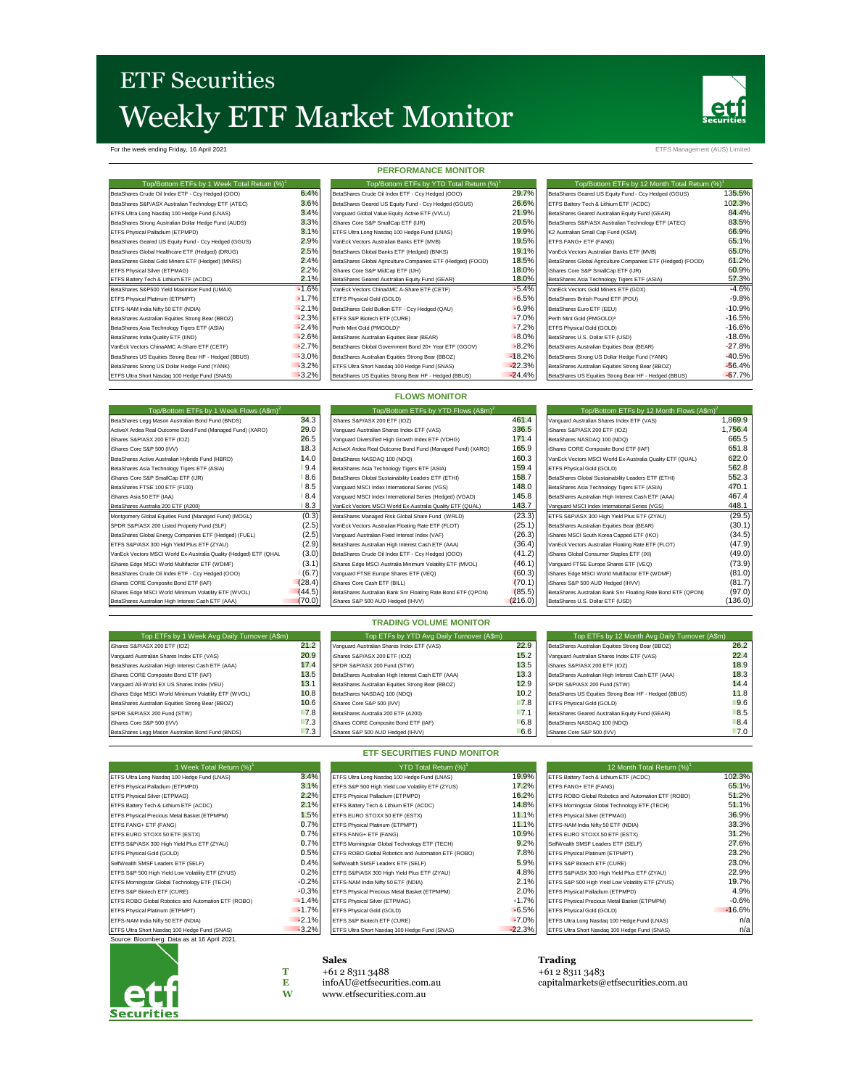# **ETF Securities** Weekly ETF Market Monitor



For the week ending Friday, 16 April 2021 ETFS Management (AUS) Limited

## **PERFORMANCE MONITOR**

| Top/Bottom ETFs by 1 Week Total Return (%) <sup>1</sup> |         | Top/Bottom ETFs by YTD Total Return (%)                     |          | Top/Bottom ETFs by 12 Month Total Return (%) <sup>1</sup>   |          |
|---------------------------------------------------------|---------|-------------------------------------------------------------|----------|-------------------------------------------------------------|----------|
| BetaShares Crude Oil Index ETF - Ccy Hedged (OOO)       | 6.4%    | BetaShares Crude Oil Index ETF - Ccy Hedged (OOO)           | 29.7%    | BetaShares Geared US Equity Fund - Ccy Hedged (GGUS)        | 135.5%   |
| BetaShares S&P/ASX Australian Technology ETF (ATEC)     | 3.6%    | BetaShares Geared US Equity Fund - Ccy Hedged (GGUS)        | 26.6%    | ETFS Battery Tech & Lithium ETF (ACDC)                      | 102.3%   |
| ETFS Ultra Long Nasdag 100 Hedge Fund (LNAS)            | 3.4%    | Vanguard Global Value Equity Active ETF (VVLU)              | 21.9%    | BetaShares Geared Australian Equity Fund (GEAR)             | 84.4%    |
| BetaShares Strong Australian Dollar Hedge Fund (AUDS)   | 3.3%    | iShares Core S&P SmallCap ETF (IJR)                         | 20.5%    | BetaShares S&P/ASX Australian Technology ETF (ATEC)         | 83.5%    |
| ETFS Physical Palladium (ETPMPD)                        | 3.1%    | ETFS Ultra Long Nasdaq 100 Hedge Fund (LNAS)                | 19.9%    | K2 Australian Small Cap Fund (KSM)                          | 66.9%    |
| BetaShares Geared US Equity Fund - Ccy Hedged (GGUS)    | 2.9%    | VanEck Vectors Australian Banks ETF (MVB)                   | 19.5%    | ETFS FANG+ ETF (FANG)                                       | 65.1%    |
| BetaShares Global Healthcare ETF (Hedged) (DRUG)        | 2.5%    | BetaShares Global Banks ETF (Hedged) (BNKS)                 | 19.1%    | VanEck Vectors Australian Banks ETF (MVB)                   | 65.0%    |
| BetaShares Global Gold Miners ETF (Hedged) (MNRS)       | 2.4%    | BetaShares Global Agriculture Companies ETF (Hedged) (FOOD) | 18.5%    | BetaShares Global Agriculture Companies ETF (Hedged) (FOOD) | 61.2%    |
| ETFS Physical Silver (ETPMAG)                           | 2.2%    | iShares Core S&P MidCap ETF (IJH)                           | 18.0%    | iShares Core S&P SmallCap ETF (IJR)                         | 60.9%    |
| ETFS Battery Tech & Lithium ETF (ACDC)                  | 2.1%    | BetaShares Geared Australian Equity Fund (GEAR)             | 18.0%    | BetaShares Asia Technology Tigers ETF (ASIA)                | 57.3%    |
| BetaShares S&P500 Yield Maximiser Fund (UMAX)           | $-1.6%$ | VanEck Vectors ChinaAMC A-Share ETF (CETF)                  | $-5.4%$  | VanEck Vectors Gold Miners ETF (GDX)                        | $-4.6%$  |
| ETFS Physical Platinum (ETPMPT)                         | $-1.7%$ | ETFS Physical Gold (GOLD)                                   | $-6.5%$  | BetaShares British Pound ETF (POU)                          | $-9.8%$  |
| ETFS-NAM India Nifty 50 ETF (NDIA)                      | $-2.1%$ | BetaShares Gold Bullion ETF - Ccy Hedged (QAU)              | $-6.9%$  | BetaShares Euro ETF (EEU)                                   | $-10.9%$ |
| BetaShares Australian Equities Strong Bear (BBOZ)       | $-2.3%$ | ETFS S&P Biotech ETF (CURE)                                 | $-7.0%$  | Perth Mint Gold (PMGOLD) <sup>3</sup>                       | $-16.5%$ |
| BetaShares Asia Technology Tigers ETF (ASIA)            | $-2.4%$ | Perth Mint Gold (PMGOLD) <sup>3</sup>                       | $-7.2%$  | ETFS Physical Gold (GOLD)                                   | $-16.6%$ |
| BetaShares India Quality ETF (IIND)                     | $-2.6%$ | BetaShares Australian Equities Bear (BEAR)                  | $-8.0\%$ | BetaShares U.S. Dollar ETF (USD)                            | $-18.6%$ |
| VanEck Vectors ChinaAMC A-Share ETF (CETF)              | $-2.7%$ | BetaShares Global Government Bond 20+ Year ETF (GGOV)       | $-8.2%$  | BetaShares Australian Equities Bear (BEAR)                  | $-27.8%$ |
| BetaShares US Equities Strong Bear HF - Hedged (BBUS)   | $-3.0%$ | BetaShares Australian Equities Strong Bear (BBOZ)           | $-18.2%$ | BetaShares Strong US Dollar Hedge Fund (YANK)               | $-40.5%$ |
| BetaShares Strong US Dollar Hedge Fund (YANK)           | $-3.2%$ | ETFS Ultra Short Nasdaq 100 Hedge Fund (SNAS)               | $-22.3%$ | BetaShares Australian Equities Strong Bear (BBOZ)           | $-56.4%$ |
| ETFS Ultra Short Nasdaq 100 Hedge Fund (SNAS)           | $-3.2%$ | BetaShares US Equities Strong Bear HF - Hedged (BBUS)       | $-24.4%$ | BetaShares US Equities Strong Bear HF - Hedged (BBUS)       | $-67.7%$ |

| Top/Bottom ETFs by 12 Month Total Return (%)                |          |
|-------------------------------------------------------------|----------|
| BetaShares Geared US Equity Fund - Ccv Hedged (GGUS)        | 135.5%   |
| ETFS Battery Tech & Lithium ETF (ACDC)                      | 102.3%   |
| BetaShares Geared Australian Equity Fund (GEAR)             | 84.4%    |
| BetaShares S&P/ASX Australian Technology ETF (ATEC)         | 83.5%    |
| K2 Australian Small Cap Fund (KSM)                          | 66.9%    |
| ETFS FANG+ ETF (FANG)                                       | 65.1%    |
| VanEck Vectors Australian Banks ETF (MVB)                   | 65.0%    |
| BetaShares Global Agriculture Companies ETF (Hedged) (FOOD) | 61.2%    |
| iShares Core S&P SmallCap ETF (IJR)                         | 60.9%    |
| BetaShares Asia Technology Tigers ETF (ASIA)                | 57.3%    |
| VanEck Vectors Gold Miners ETF (GDX)                        | $-4.6%$  |
| BetaShares British Pound ETF (POU)                          | $-9.8%$  |
| BetaShares Euro ETF (EEU)                                   | $-10.9%$ |
| Perth Mint Gold (PMGOLD) <sup>3</sup>                       | $-16.5%$ |
| ETFS Physical Gold (GOLD)                                   | $-16.6%$ |
| BetaShares U.S. Dollar ETF (USD)                            | $-18.6%$ |
| BetaShares Australian Equities Bear (BEAR)                  | $-27.8%$ |
| BetaShares Strong US Dollar Hedge Fund (YANK)               | $-40.5%$ |
| BetaShares Australian Equities Strong Bear (BBOZ)           | $-56.4%$ |
| BetaShares US Equities Strong Bear HF - Hedged (BBUS)       | $-67.7%$ |

### **FLOWS MONITOR**

| Top/Bottom ETFs by 1 Week Flows (A\$m) <sup>2</sup>               |        | Top/Bottom ETFs by YTD Flows (A\$m) <sup>2</sup>             |         | Top/Bottom ETFs by 12 Month Flows (A\$m) <sup>2</sup>        |         |
|-------------------------------------------------------------------|--------|--------------------------------------------------------------|---------|--------------------------------------------------------------|---------|
| BetaShares Legg Mason Australian Bond Fund (BNDS)                 | 34.3   | Shares S&P/ASX 200 ETF (IOZ)                                 | 461.4   | Vanguard Australian Shares Index ETF (VAS)                   | 1.869.9 |
| ActiveX Ardea Real Outcome Bond Fund (Managed Fund) (XARO)        | 29.0   | Vanguard Australian Shares Index ETF (VAS)                   | 336.5   | iShares S&P/ASX 200 ETF (IOZ)                                | 1.756.4 |
| iShares S&P/ASX 200 ETF (IOZ)                                     | 26.5   | Vanguard Diversified High Growth Index ETF (VDHG)            | 171.4   | BetaShares NASDAQ 100 (NDQ)                                  | 665.5   |
| iShares Core S&P 500 (IVV)                                        | 18.3   | ActiveX Ardea Real Outcome Bond Fund (Managed Fund) (XARO)   | 165.9   | iShares CORE Composite Bond ETF (IAF)                        | 651.8   |
| BetaShares Active Australian Hybrids Fund (HBRD)                  | 14.0   | BetaShares NASDAQ 100 (NDQ)                                  | 160.3   | VanEck Vectors MSCI World Ex-Australia Quality ETF (QUAL)    | 622.0   |
| BetaShares Asia Technology Tigers ETF (ASIA)                      | 9.4    | BetaShares Asia Technology Tigers ETF (ASIA)                 | 159.4   | ETFS Physical Gold (GOLD)                                    | 562.8   |
| iShares Core S&P SmallCap ETF (IJR)                               | 8.6    | BetaShares Global Sustainability Leaders ETF (ETHI)          | 158.7   | BetaShares Global Sustainability Leaders ETF (ETHI)          | 552.3   |
| BetaShares FTSE 100 ETF (F100)                                    | 8.5    | Vanguard MSCI Index International Series (VGS)               | 148.0   | BetaShares Asia Technology Tigers ETF (ASIA)                 | 470.1   |
| iShares Asia 50 ETF (IAA)                                         | 8.4    | Vanguard MSCI Index International Series (Hedged) (VGAD)     | 145.8   | BetaShares Australian High Interest Cash ETF (AAA)           | 467.4   |
| BetaShares Australia 200 ETF (A200)                               | 8.3    | VanEck Vectors MSCI World Ex-Australia Quality ETF (QUAL)    | 143.7   | Vanguard MSCI Index International Series (VGS)               | 448.1   |
| Montgomery Global Equities Fund (Managed Fund) (MOGL)             | (0.3)  | BetaShares Managed Risk Global Share Fund (WRLD)             | (23.3)  | ETFS S&P/ASX 300 High Yield Plus ETF (ZYAU)                  | (29.5)  |
| SPDR S&P/ASX 200 Listed Property Fund (SLF)                       | (2.5)  | VanEck Vectors Australian Floating Rate ETF (FLOT)           | (25.1)  | BetaShares Australian Equities Bear (BEAR)                   | (30.1)  |
| BetaShares Global Energy Companies ETF (Hedged) (FUEL)            | (2.5)  | Vanguard Australian Fixed Interest Index (VAF)               | (26.3)  | iShares MSCI South Korea Capped ETF (IKO)                    | (34.5)  |
| ETFS S&P/ASX 300 High Yield Plus ETF (ZYAU)                       | (2.9)  | BetaShares Australian High Interest Cash ETF (AAA)           | (36.4)  | VanEck Vectors Australian Floating Rate ETF (FLOT)           | (47.9)  |
| VanEck Vectors MSCI World Ex-Australia Quality (Hedged) ETF (QHAL | (3.0)  | BetaShares Crude Oil Index ETF - Ccy Hedged (OOO)            | (41.2)  | iShares Global Consumer Staples ETF (IXI)                    | (49.0)  |
| iShares Edge MSCI World Multifactor ETF (WDMF)                    | (3.1)  | iShares Edge MSCI Australia Minimum Volatility ETF (MVOL)    | (46.1)  | Vanguard FTSE Europe Shares ETF (VEQ)                        | (73.9)  |
| BetaShares Crude Oil Index ETF - Ccy Hedged (OOO)                 | (6.7)  | Vanguard FTSE Europe Shares ETF (VEQ)                        | (60.3)  | iShares Edge MSCI World Multifactor ETF (WDMF)               | (81.0)  |
| iShares CORE Composite Bond ETF (IAF)                             | (28.4) | Shares Core Cash ETF (BILL)                                  | (70.1)  | iShares S&P 500 AUD Hedged (IHVV)                            | (81.7)  |
| iShares Edge MSCI World Minimum Volatility ETF (WVOL)             | (44.5) | BetaShares Australian Bank Snr Floating Rate Bond ETF (QPON) | (85.5)  | BetaShares Australian Bank Snr Floating Rate Bond ETF (QPON) | (97.0)  |
| BetaShares Australian High Interest Cash ETF (AAA)                | (70.0) | iShares S&P 500 AUD Hedged (IHVV)                            | (216.0) | BetaShares U.S. Dollar ETF (USD)                             | (136.0) |

| Top ETFs by 1 Week Avg Daily Turnover (A\$m)          |      | Top ETFs by YTD Avg Daily Turnover (A\$m)          |        | Top ETFs by 12 Month Avg Daily Turnover (A\$m)        |      |
|-------------------------------------------------------|------|----------------------------------------------------|--------|-------------------------------------------------------|------|
| iShares S&P/ASX 200 ETF (IOZ)                         | 21.2 | Vanguard Australian Shares Index ETF (VAS)         | 22.9   | BetaShares Australian Equities Strong Bear (BBOZ)     | 26.2 |
| Vanguard Australian Shares Index ETF (VAS)            | 20.9 | iShares S&P/ASX 200 ETF (IOZ)                      | 15.2   | Vanguard Australian Shares Index ETF (VAS)            | 22.4 |
| BetaShares Australian High Interest Cash ETF (AAA)    | 17.4 | SPDR S&P/ASX 200 Fund (STW)                        | 13.5   | iShares S&P/ASX 200 ETF (IOZ)                         | 18.9 |
| Shares CORE Composite Bond ETF (IAF)                  | 13.5 | BetaShares Australian High Interest Cash ETF (AAA) | 13.3   | BetaShares Australian High Interest Cash ETF (AAA)    | 18.3 |
| Vanguard All-World EX US Shares Index (VEU)           | 13.1 | BetaShares Australian Equities Strong Bear (BBOZ)  | 12.9   | SPDR S&P/ASX 200 Fund (STW)                           | 14.4 |
| IShares Edge MSCI World Minimum Volatility ETF (WVOL) | 10.8 | BetaShares NASDAQ 100 (NDQ)                        | 10.2   | BetaShares US Equities Strong Bear HF - Hedged (BBUS) | 11.8 |
| BetaShares Australian Equities Strong Bear (BBOZ)     | 10.6 | iShares Core S&P 500 (IVV)                         | 7.8    | ETFS Physical Gold (GOLD)                             | 9.6  |
| SPDR S&P/ASX 200 Fund (STW)                           | 7.8  | BetaShares Australia 200 ETF (A200)                | $-7.1$ | BetaShares Geared Australian Equity Fund (GEAR)       | 8.5  |
| iShares Core S&P 500 (IVV)                            | 7.3  | iShares CORE Composite Bond ETF (IAF)              | 6.8    | BetaShares NASDAQ 100 (NDQ)                           | 8.4  |
| BetaShares Legg Mason Australian Bond Fund (BNDS)     | 7.3  | iShares S&P 500 AUD Hedged (IHVV)                  | 6.6    | iShares Core S&P 500 (IVV)                            | 7.0  |

**TRADING VOLUME MONITOR**

## **ETF SECURITIES FUND MONITOR**

| 1 Week Total Return (%) <sup>1</sup>                |         | YTD Total Return (%) <sup>1</sup>                   |          | 12 Month Total Return (%)                           |          |  |
|-----------------------------------------------------|---------|-----------------------------------------------------|----------|-----------------------------------------------------|----------|--|
| ETFS Ultra Long Nasdaq 100 Hedge Fund (LNAS)        | 3.4%    | ETFS Ultra Long Nasdaq 100 Hedge Fund (LNAS)        | 19.9%    | ETFS Battery Tech & Lithium ETF (ACDC)              | 102.3%   |  |
| ETFS Physical Palladium (ETPMPD)                    | 3.1%    | ETFS S&P 500 High Yield Low Volatility ETF (ZYUS)   | 17.2%    | ETFS FANG+ ETF (FANG)                               | 65.1%    |  |
| ETFS Physical Silver (ETPMAG)                       | 2.2%    | ETFS Physical Palladium (ETPMPD)                    | 16.2%    | ETFS ROBO Global Robotics and Automation ETF (ROBO) | 51.2%    |  |
| ETFS Battery Tech & Lithium ETF (ACDC)              | 2.1%    | ETFS Battery Tech & Lithium ETF (ACDC)              | 14.8%    | ETFS Morningstar Global Technology ETF (TECH)       | 51.1%    |  |
| ETFS Physical Precious Metal Basket (ETPMPM)        | 1.5%    | ETFS EURO STOXX 50 ETF (ESTX)                       | 11.1%    | ETFS Physical Silver (ETPMAG)                       | 36.9%    |  |
| ETFS FANG+ ETF (FANG)                               | 0.7%    | ETFS Physical Platinum (ETPMPT)                     | 11.1%    | ETFS-NAM India Nifty 50 ETF (NDIA)                  | 33.3%    |  |
| ETFS EURO STOXX 50 ETF (ESTX)                       | 0.7%    | ETFS FANG+ ETF (FANG)                               | 10.9%    | ETFS EURO STOXX 50 ETF (ESTX)                       | 31.2%    |  |
| ETFS S&P/ASX 300 High Yield Plus ETF (ZYAU)         | 0.7%    | ETFS Morningstar Global Technology ETF (TECH)       | 9.2%     | SelfWealth SMSF Leaders ETF (SELF)                  | 27.6%    |  |
| ETFS Physical Gold (GOLD)                           | 0.5%    | ETFS ROBO Global Robotics and Automation ETF (ROBO) | 7.8%     | ETFS Physical Platinum (ETPMPT)                     | 23.2%    |  |
| SelfWealth SMSF Leaders ETF (SELF)                  | 0.4%    | SelfWealth SMSF Leaders ETF (SELF)                  | 5.9%     | ETFS S&P Biotech ETF (CURE)                         | 23.0%    |  |
| ETFS S&P 500 High Yield Low Volatility ETF (ZYUS)   | 0.2%    | ETFS S&P/ASX 300 High Yield Plus ETF (ZYAU)         | 4.8%     | ETFS S&P/ASX 300 High Yield Plus ETF (ZYAU)         | 22.9%    |  |
| ETFS Morningstar Global Technology ETF (TECH)       | $-0.2%$ | ETFS-NAM India Nifty 50 ETF (NDIA)                  | 2.1%     | ETFS S&P 500 High Yield Low Volatility ETF (ZYUS)   | 19.7%    |  |
| ETFS S&P Biotech ETF (CURE)                         | $-0.3%$ | ETFS Physical Precious Metal Basket (ETPMPM)        | 2.0%     | ETFS Physical Palladium (ETPMPD)                    | 4.9%     |  |
| ETFS ROBO Global Robotics and Automation ETF (ROBO) | $-1.4%$ | ETFS Physical Silver (ETPMAG)                       | $-1.7%$  | ETFS Physical Precious Metal Basket (ETPMPM)        | $-0.6%$  |  |
| ETFS Physical Platinum (ETPMPT)                     | $-1.7%$ | ETFS Physical Gold (GOLD)                           | $-6.5%$  | ETFS Physical Gold (GOLD)                           | $-16.6%$ |  |
| ETFS-NAM India Nifty 50 ETF (NDIA)                  | $-2.1%$ | ETFS S&P Biotech ETF (CURE)                         | $-7.0%$  | ETFS Ultra Long Nasdaq 100 Hedge Fund (LNAS)        | n/a      |  |
| ETFS Ultra Short Nasdag 100 Hedge Fund (SNAS)       | $-3.2%$ | ETFS Ultra Short Nasdag 100 Hedge Fund (SNAS)       | $-22.3%$ | ETFS Ultra Short Nasdag 100 Hedge Fund (SNAS)       | n/a      |  |

| υ. | EIFO BALLOI I OCH OL LIBRITI EIFRODOI               | 192.97   |
|----|-----------------------------------------------------|----------|
| 6  | ETFS FANG+ ETF (FANG)                               | 65.1%    |
| 6  | ETFS ROBO Global Robotics and Automation ETF (ROBO) | 51.2%    |
| 6  | ETFS Morningstar Global Technology ETF (TECH)       | 51.1%    |
| 6  | ETFS Physical Silver (ETPMAG)                       | 36.9%    |
| 6  | ETFS-NAM India Nifty 50 ETF (NDIA)                  | 33.3%    |
| 6  | ETFS EURO STOXX 50 ETF (ESTX)                       | 31.2%    |
| 6  | SelfWealth SMSF Leaders ETF (SELF)                  | 27.6%    |
| 6  | ETFS Physical Platinum (ETPMPT)                     | 23.2%    |
| 6  | ETFS S&P Biotech ETF (CURE)                         | 23.0%    |
| 6  | ETFS S&P/ASX 300 High Yield Plus ETF (ZYAU)         | 22.9%    |
| 6  | ETFS S&P 500 High Yield Low Volatility ETF (ZYUS)   | 19.7%    |
| 6  | ETFS Physical Palladium (ETPMPD)                    | 4.9%     |
| 6  | ETFS Physical Precious Metal Basket (ETPMPM)        | $-0.6%$  |
| 6  | ETFS Physical Gold (GOLD)                           | $-16.6%$ |
| 6  | ETFS Ultra Long Nasdaq 100 Hedge Fund (LNAS)        | n/:      |
| 6  | ETFS Ultra Short Nasdag 100 Hedge Fund (SNAS)       | n/:      |



Source: Bloomberg. Data as at 16 April 2021.

ETFS Ultra Short Nasdaq 100 Hedge Fund (SNAS) -22.3% ETFS Ultra Short Nasdaq 100 Hedge Fund (SNAS)

> **Sales Trading**<br>+61 2 8311 3488 **Trading** +61 2 831 **T** +61 2 8311 3488 +61 2 8311 3483<br> **E** infoAU@etfsecurities.com.au capitalmarkets@ **E** [infoAU@etfsecurities.com.au](mailto:infoAU@etfsecurities.com.au) [capitalmarkets@etfsecurities.com.au](mailto:capitalmarkets@etfsecurities.com.au) **W** [www.etfsecurities.com.au](http://www.etfsecurities.com.au/)